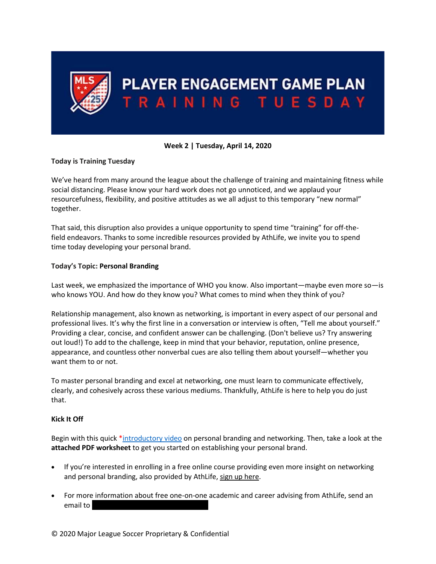

## **Week 2 | Tuesday, April 14, 2020**

## **Today is Training Tuesday**

We've heard from many around the league about the challenge of training and maintaining fitness while social distancing. Please know your hard work does not go unnoticed, and we applaud your resourcefulness, flexibility, and positive attitudes as we all adjust to this temporary "new normal" together.

That said, this disruption also provides a unique opportunity to spend time "training" for off-thefield endeavors. Thanks to some incredible resources provided by AthLife, we invite you to spend time today developing your personal brand.

## **Today's Topic: Personal Branding**

Last week, we emphasized the importance of WHO you know. Also important—maybe even more so—is who knows YOU. And how do they know you? What comes to mind when they think of you?

Relationship management, also known as networking, is important in every aspect of our personal and professional lives. It's why the first line in a conversation or interview is often, "Tell me about yourself." Providing a clear, concise, and confident answer can be challenging. (Don't believe us? Try answering out loud!) To add to the challenge, keep in mind that your behavior, reputation, online presence, appearance, and countless other nonverbal cues are also telling them about yourself—whether you want them to or not.

To master personal branding and excel at networking, one must learn to communicate effectively, clearly, and cohesively across these various mediums. Thankfully, AthLife is here to help you do just that.

## **Kick It Off**

Begin with this quick [\\*introductory video](https://www.youtube.com/watch?v=QVo4MTWcTaA&feature=youtu.be) on personal branding and networking. Then, take a look at the **attached PDF worksheet** to get you started on establishing your personal brand.

- If you're interested in enrolling in a free online course providing even more insight on networking and personal branding, also provided by AthLife, sign up here.
- For more information about free one-on-one academic and career advising from AthLife, send an email to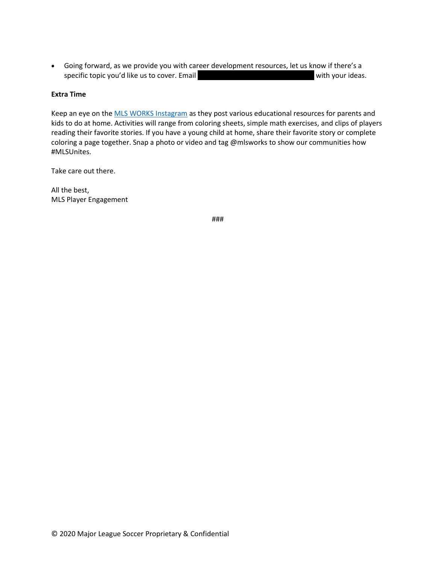• Going forward, as we provide you with career development resources, let us know if there's a specific topic you'd like us to cover. Email PlayerEngagement Muslim with your ideas.

### **Extra Time**

Keep an eye on the **[MLS WORKS](https://www.instagram.com/mlsworks/?hl=en) Instagram** as they post various educational resources for parents and kids to do at home. Activities will range from coloring sheets, simple math exercises, and clips of players reading their favorite stories. If you have a young child at home, share their favorite story or complete coloring a page together. Snap a photo or video and tag @mlsworks to show our communities how #MLSUnites.

Take care out there.

All the best, MLS Player Engagement

###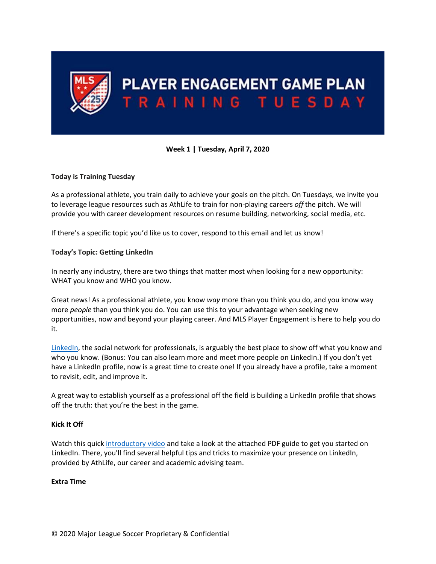

# **Week 1 | Tuesday, April 7, 2020**

## **Today is Training Tuesday**

As a professional athlete, you train daily to achieve your goals on the pitch. On Tuesdays, we invite you to leverage league resources such as AthLife to train for non-playing careers *off* the pitch. We will provide you with career development resources on resume building, networking, social media, etc.

If there's a specific topic you'd like us to cover, respond to this email and let us know!

### **Today's Topic: Getting LinkedIn**

In nearly any industry, there are two things that matter most when looking for a new opportunity: WHAT you know and WHO you know.

Great news! As a professional athlete, you know *way* more than you think you do, and you know way more *people* than you think you do. You can use this to your advantage when seeking new opportunities, now and beyond your playing career. And MLS Player Engagement is here to help you do it.

[LinkedIn,](http://www.linkedin.com/) the social network for professionals, is arguably the best place to show off what you know and who you know. (Bonus: You can also learn more and meet more people on LinkedIn.) If you don't yet have a LinkedIn profile, now is a great time to create one! If you already have a profile, take a moment to revisit, edit, and improve it.

A great way to establish yourself as a professional off the field is building a LinkedIn profile that shows off the truth: that you're the best in the game.

#### **Kick It Off**

Watch this quic[k introductory video](https://www.youtube.com/watch?v=Um4cvxcEhvA&feature=youtu.be) and take a look at the attached PDF guide to get you started on LinkedIn. There, you'll find several helpful tips and tricks to maximize your presence on LinkedIn, provided by AthLife, our career and academic advising team.

## **Extra Time**